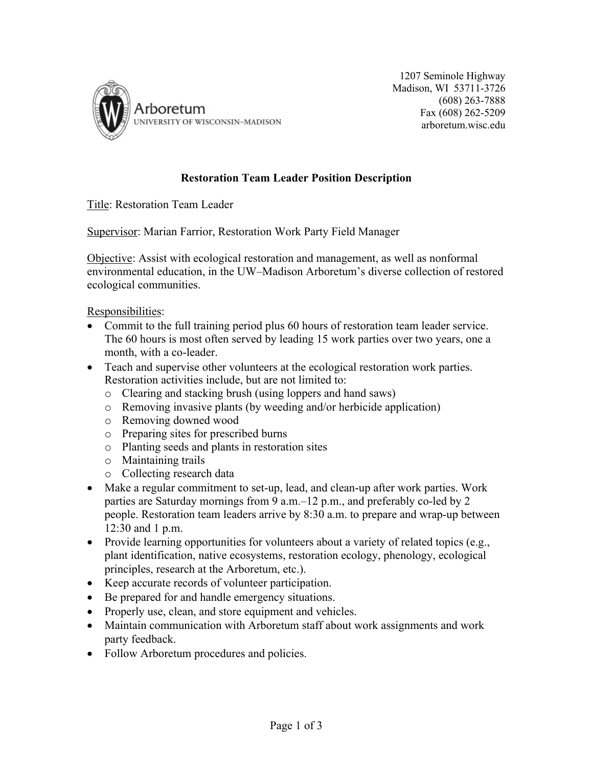

1207 Seminole Highway Madison, WI 53711-3726 (608) 263-7888 Fax (608) 262-5209 arboretum.wisc.edu

## **Restoration Team Leader Position Description**

Title: Restoration Team Leader

Supervisor: Marian Farrior, Restoration Work Party Field Manager

Objective: Assist with ecological restoration and management, as well as nonformal environmental education, in the UW–Madison Arboretum's diverse collection of restored ecological communities.

## Responsibilities:

- Commit to the full training period plus 60 hours of restoration team leader service. The 60 hours is most often served by leading 15 work parties over two years, one a month, with a co-leader.
- Teach and supervise other volunteers at the ecological restoration work parties. Restoration activities include, but are not limited to:
	- o Clearing and stacking brush (using loppers and hand saws)
	- o Removing invasive plants (by weeding and/or herbicide application)
	- o Removing downed wood
	- o Preparing sites for prescribed burns
	- o Planting seeds and plants in restoration sites
	- o Maintaining trails
	- o Collecting research data
- Make a regular commitment to set-up, lead, and clean-up after work parties. Work parties are Saturday mornings from 9 a.m.–12 p.m., and preferably co-led by 2 people. Restoration team leaders arrive by 8:30 a.m. to prepare and wrap-up between 12:30 and 1 p.m.
- Provide learning opportunities for volunteers about a variety of related topics (e.g., plant identification, native ecosystems, restoration ecology, phenology, ecological principles, research at the Arboretum, etc.).
- Keep accurate records of volunteer participation.
- Be prepared for and handle emergency situations.
- Properly use, clean, and store equipment and vehicles.
- Maintain communication with Arboretum staff about work assignments and work party feedback.
- Follow Arboretum procedures and policies.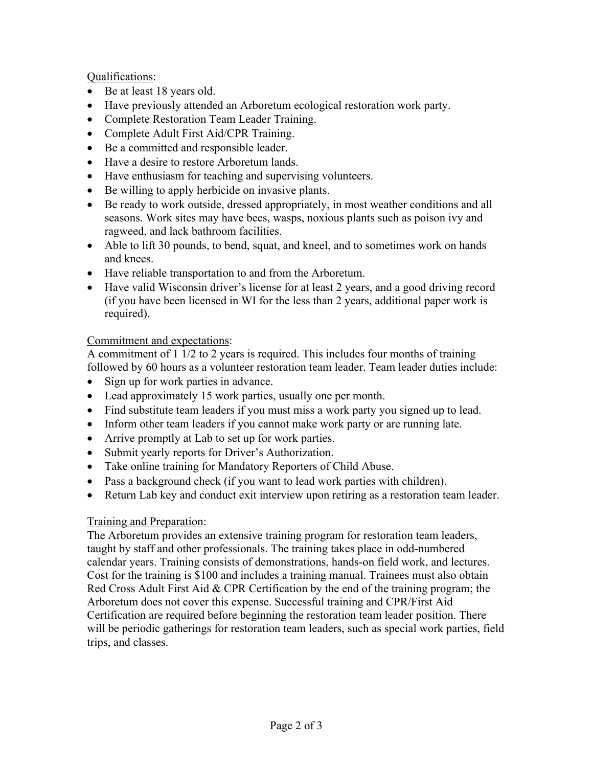Qualifications:

- Be at least 18 years old.
- Have previously attended an Arboretum ecological restoration work party.
- Complete Restoration Team Leader Training.
- Complete Adult First Aid/CPR Training.
- Be a committed and responsible leader.
- Have a desire to restore Arboretum lands.
- Have enthusiasm for teaching and supervising volunteers.
- Be willing to apply herbicide on invasive plants.
- Be ready to work outside, dressed appropriately, in most weather conditions and all seasons. Work sites may have bees, wasps, noxious plants such as poison ivy and ragweed, and lack bathroom facilities.
- Able to lift 30 pounds, to bend, squat, and kneel, and to sometimes work on hands and knees.
- Have reliable transportation to and from the Arboretum.
- Have valid Wisconsin driver's license for at least 2 years, and a good driving record (if you have been licensed in WI for the less than 2 years, additional paper work is required).

## Commitment and expectations:

A commitment of 1 1/2 to 2 years is required. This includes four months of training followed by 60 hours as a volunteer restoration team leader. Team leader duties include:

- Sign up for work parties in advance.
- Lead approximately 15 work parties, usually one per month.
- Find substitute team leaders if you must miss a work party you signed up to lead.
- Inform other team leaders if you cannot make work party or are running late.
- Arrive promptly at Lab to set up for work parties.
- Submit yearly reports for Driver's Authorization.
- Take online training for Mandatory Reporters of Child Abuse.
- Pass a background check (if you want to lead work parties with children).
- Return Lab key and conduct exit interview upon retiring as a restoration team leader.

## Training and Preparation:

The Arboretum provides an extensive training program for restoration team leaders, taught by staff and other professionals. The training takes place in odd-numbered calendar years. Training consists of demonstrations, hands-on field work, and lectures. Cost for the training is \$100 and includes a training manual. Trainees must also obtain Red Cross Adult First Aid  $&$  CPR Certification by the end of the training program; the Arboretum does not cover this expense. Successful training and CPR/First Aid Certification are required before beginning the restoration team leader position. There will be periodic gatherings for restoration team leaders, such as special work parties, field trips, and classes.